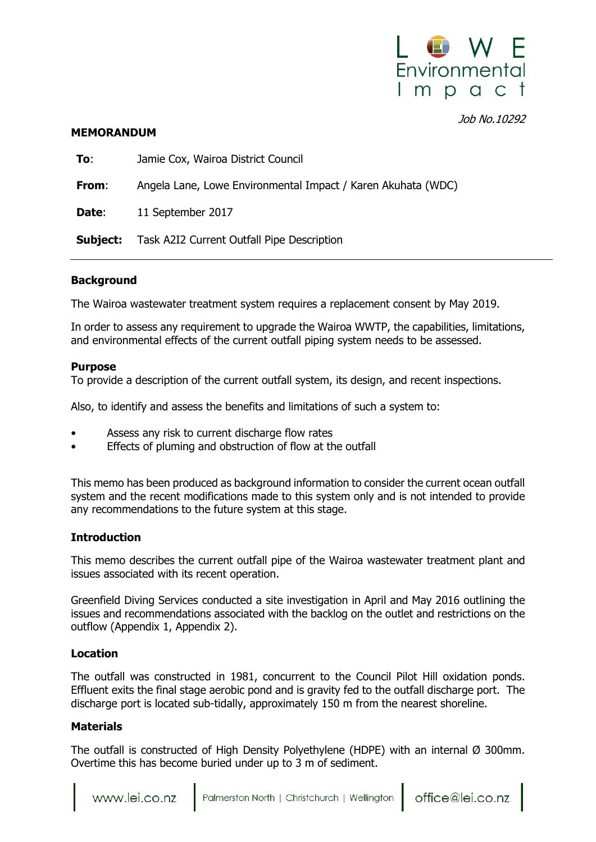

Job No.10292

### **MEMORANDUM**

| To:             | Jamie Cox, Wairoa District Council                           |
|-----------------|--------------------------------------------------------------|
| From:           | Angela Lane, Lowe Environmental Impact / Karen Akuhata (WDC) |
| Date:           | 11 September 2017                                            |
| <b>Subject:</b> | Task A2I2 Current Outfall Pipe Description                   |

### **Background**

The Wairoa wastewater treatment system requires a replacement consent by May 2019.

In order to assess any requirement to upgrade the Wairoa WWTP, the capabilities, limitations, and environmental effects of the current outfall piping system needs to be assessed.

### **Purpose**

To provide a description of the current outfall system, its design, and recent inspections.

Also, to identify and assess the benefits and limitations of such a system to:

- Assess any risk to current discharge flow rates
- Effects of pluming and obstruction of flow at the outfall

This memo has been produced as background information to consider the current ocean outfall system and the recent modifications made to this system only and is not intended to provide any recommendations to the future system at this stage.

## **Introduction**

This memo describes the current outfall pipe of the Wairoa wastewater treatment plant and issues associated with its recent operation.

Greenfield Diving Services conducted a site investigation in April and May 2016 outlining the issues and recommendations associated with the backlog on the outlet and restrictions on the outflow (Appendix 1, Appendix 2).

## **Location**

The outfall was constructed in 1981, concurrent to the Council Pilot Hill oxidation ponds. Effluent exits the final stage aerobic pond and is gravity fed to the outfall discharge port. The discharge port is located sub-tidally, approximately 150 m from the nearest shoreline.

## **Materials**

The outfall is constructed of High Density Polyethylene (HDPE) with an internal Ø 300mm. Overtime this has become buried under up to 3 m of sediment.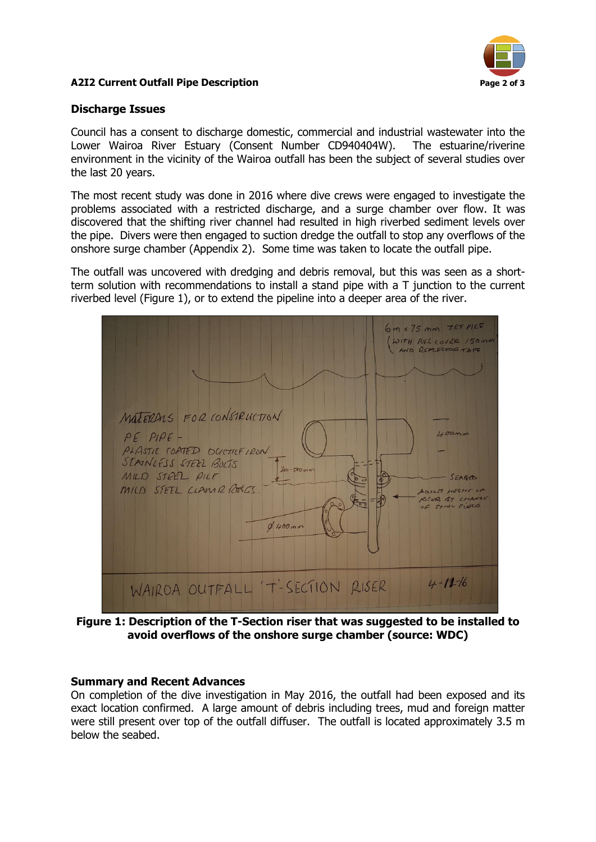

## **A2I2 Current Outfall Pipe Description Page 2 of 3**

## **Discharge Issues**

Council has a consent to discharge domestic, commercial and industrial wastewater into the Lower Wairoa River Estuary (Consent Number CD940404W). The estuarine/riverine environment in the vicinity of the Wairoa outfall has been the subject of several studies over the last 20 years.

The most recent study was done in 2016 where dive crews were engaged to investigate the problems associated with a restricted discharge, and a surge chamber over flow. It was discovered that the shifting river channel had resulted in high riverbed sediment levels over the pipe. Divers were then engaged to suction dredge the outfall to stop any overflows of the onshore surge chamber (Appendix 2). Some time was taken to locate the outfall pipe.

The outfall was uncovered with dredging and debris removal, but this was seen as a shortterm solution with recommendations to install a stand pipe with a T junction to the current riverbed level (Figure 1), or to extend the pipeline into a deeper area of the river.



**Figure 1: Description of the T-Section riser that was suggested to be installed to avoid overflows of the onshore surge chamber (source: WDC)**

## **Summary and Recent Advances**

On completion of the dive investigation in May 2016, the outfall had been exposed and its exact location confirmed. A large amount of debris including trees, mud and foreign matter were still present over top of the outfall diffuser. The outfall is located approximately 3.5 m below the seabed.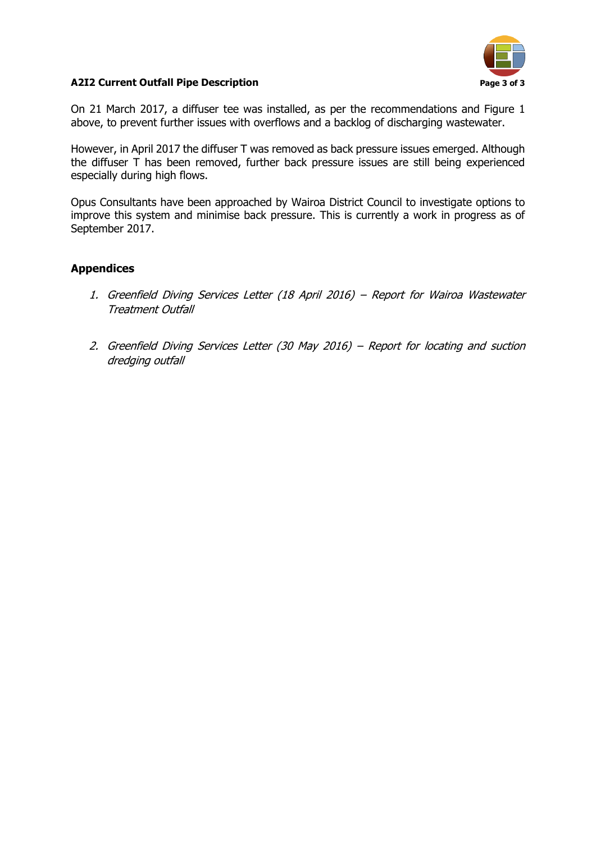

## **A2I2 Current Outfall Pipe Description Page 3 of 3**

On 21 March 2017, a diffuser tee was installed, as per the recommendations and Figure 1 above, to prevent further issues with overflows and a backlog of discharging wastewater.

However, in April 2017 the diffuser T was removed as back pressure issues emerged. Although the diffuser T has been removed, further back pressure issues are still being experienced especially during high flows.

Opus Consultants have been approached by Wairoa District Council to investigate options to improve this system and minimise back pressure. This is currently a work in progress as of September 2017.

## **Appendices**

- 1. Greenfield Diving Services Letter (18 April 2016) Report for Wairoa Wastewater Treatment Outfall
- 2. Greenfield Diving Services Letter (30 May 2016) Report for locating and suction dredging outfall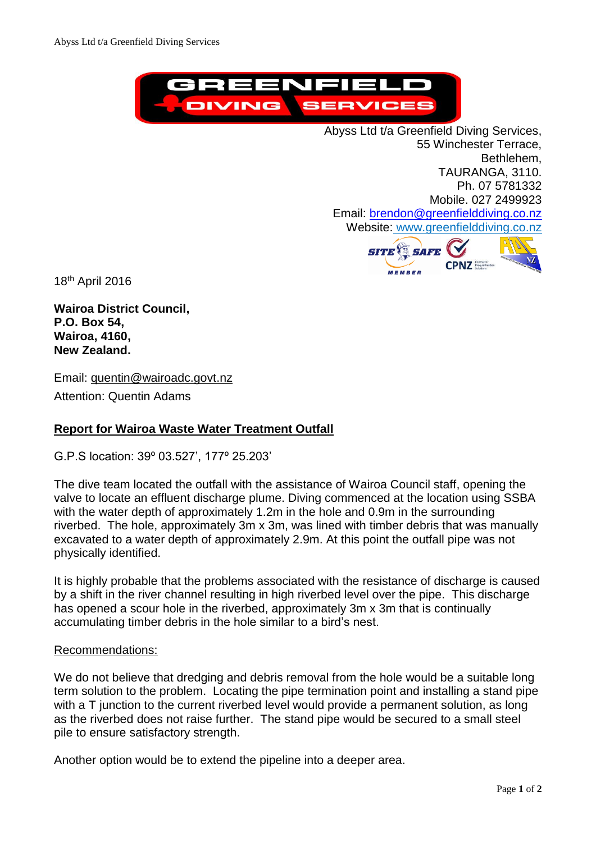

Abyss Ltd t/a Greenfield Diving Services, 55 Winchester Terrace, Bethlehem, TAURANGA, 3110. Ph. 07 5781332 Mobile. 027 2499923 Email: [brendon@greenfielddiving.co.nz](mailto:brendon@greenfielddiving.co.nz) Website: www.greenfielddiving.co.nz



18 th April 2016

**Wairoa District Council, P.O. Box 54, Wairoa, 4160, New Zealand.**

Email: quentin@wairoadc.govt.nz

Attention: Quentin Adams

## **Report for Wairoa Waste Water Treatment Outfall**

G.P.S location: 39º 03.527', 177º 25.203'

The dive team located the outfall with the assistance of Wairoa Council staff, opening the valve to locate an effluent discharge plume. Diving commenced at the location using SSBA with the water depth of approximately 1.2m in the hole and 0.9m in the surrounding riverbed. The hole, approximately 3m x 3m, was lined with timber debris that was manually excavated to a water depth of approximately 2.9m. At this point the outfall pipe was not physically identified.

It is highly probable that the problems associated with the resistance of discharge is caused by a shift in the river channel resulting in high riverbed level over the pipe. This discharge has opened a scour hole in the riverbed, approximately 3m x 3m that is continually accumulating timber debris in the hole similar to a bird's nest.

#### Recommendations:

We do not believe that dredging and debris removal from the hole would be a suitable long term solution to the problem. Locating the pipe termination point and installing a stand pipe with a T junction to the current riverbed level would provide a permanent solution, as long as the riverbed does not raise further. The stand pipe would be secured to a small steel pile to ensure satisfactory strength.

Another option would be to extend the pipeline into a deeper area.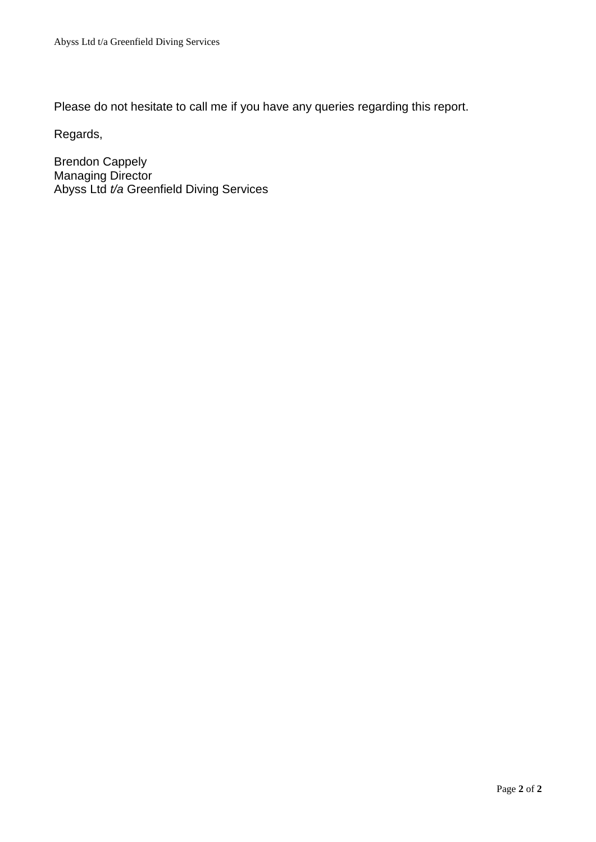Please do not hesitate to call me if you have any queries regarding this report.

Regards,

Brendon Cappely Managing Director Abyss Ltd *t/a* Greenfield Diving Services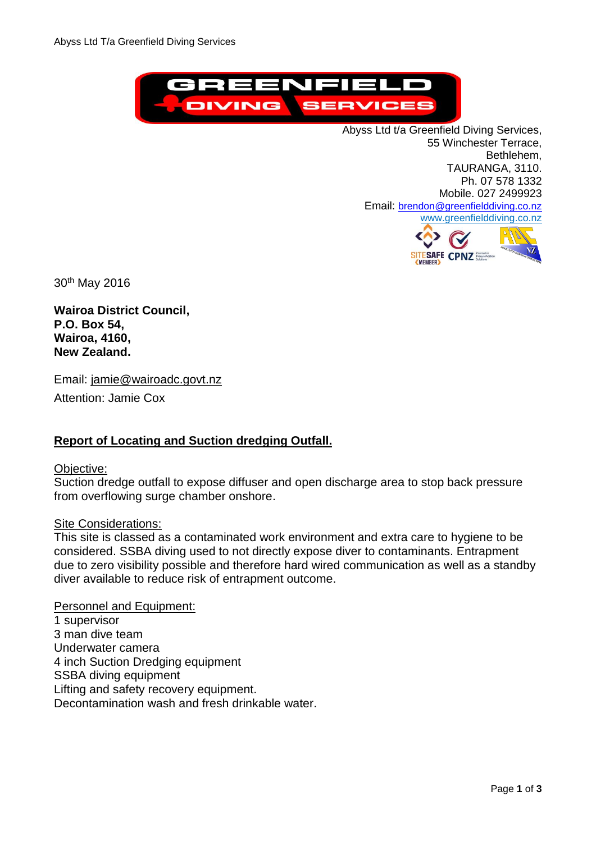

Abyss Ltd t/a Greenfield Diving Services, 55 Winchester Terrace, Bethlehem, TAURANGA, 3110. Ph. 07 578 1332 Mobile. 027 2499923 Email: [brendon@greenfielddiving.co.nz](mailto:brendon@greenfielddiving.co.nz) www.greenfielddiving.co.nz



30th May 2016

**Wairoa District Council, P.O. Box 54, Wairoa, 4160, New Zealand.**

Email: jamie@wairoadc.govt.nz Attention: Jamie Cox

## **Report of Locating and Suction dredging Outfall.**

## Objective:

Suction dredge outfall to expose diffuser and open discharge area to stop back pressure from overflowing surge chamber onshore.

#### Site Considerations:

This site is classed as a contaminated work environment and extra care to hygiene to be considered. SSBA diving used to not directly expose diver to contaminants. Entrapment due to zero visibility possible and therefore hard wired communication as well as a standby diver available to reduce risk of entrapment outcome.

Personnel and Equipment: 1 supervisor 3 man dive team Underwater camera 4 inch Suction Dredging equipment SSBA diving equipment Lifting and safety recovery equipment. Decontamination wash and fresh drinkable water.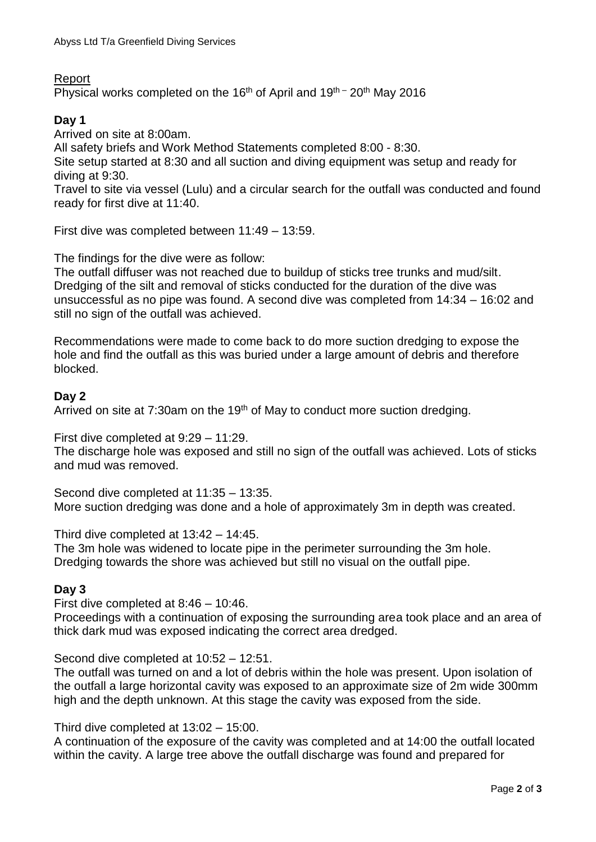## Report

Physical works completed on the 16<sup>th</sup> of April and  $19<sup>th</sup>$  – 20<sup>th</sup> May 2016

# **Day 1**

Arrived on site at 8:00am.

All safety briefs and Work Method Statements completed 8:00 - 8:30.

Site setup started at 8:30 and all suction and diving equipment was setup and ready for diving at 9:30.

Travel to site via vessel (Lulu) and a circular search for the outfall was conducted and found ready for first dive at 11:40.

First dive was completed between 11:49 – 13:59.

The findings for the dive were as follow:

The outfall diffuser was not reached due to buildup of sticks tree trunks and mud/silt. Dredging of the silt and removal of sticks conducted for the duration of the dive was unsuccessful as no pipe was found. A second dive was completed from 14:34 – 16:02 and still no sign of the outfall was achieved.

Recommendations were made to come back to do more suction dredging to expose the hole and find the outfall as this was buried under a large amount of debris and therefore blocked.

## **Day 2**

Arrived on site at 7:30am on the 19<sup>th</sup> of May to conduct more suction dredging.

First dive completed at 9:29 – 11:29.

The discharge hole was exposed and still no sign of the outfall was achieved. Lots of sticks and mud was removed.

Second dive completed at 11:35 – 13:35. More suction dredging was done and a hole of approximately 3m in depth was created.

Third dive completed at 13:42 – 14:45.

The 3m hole was widened to locate pipe in the perimeter surrounding the 3m hole. Dredging towards the shore was achieved but still no visual on the outfall pipe.

## **Day 3**

First dive completed at 8:46 – 10:46.

Proceedings with a continuation of exposing the surrounding area took place and an area of thick dark mud was exposed indicating the correct area dredged.

Second dive completed at 10:52 – 12:51.

The outfall was turned on and a lot of debris within the hole was present. Upon isolation of the outfall a large horizontal cavity was exposed to an approximate size of 2m wide 300mm high and the depth unknown. At this stage the cavity was exposed from the side.

Third dive completed at 13:02 – 15:00.

A continuation of the exposure of the cavity was completed and at 14:00 the outfall located within the cavity. A large tree above the outfall discharge was found and prepared for